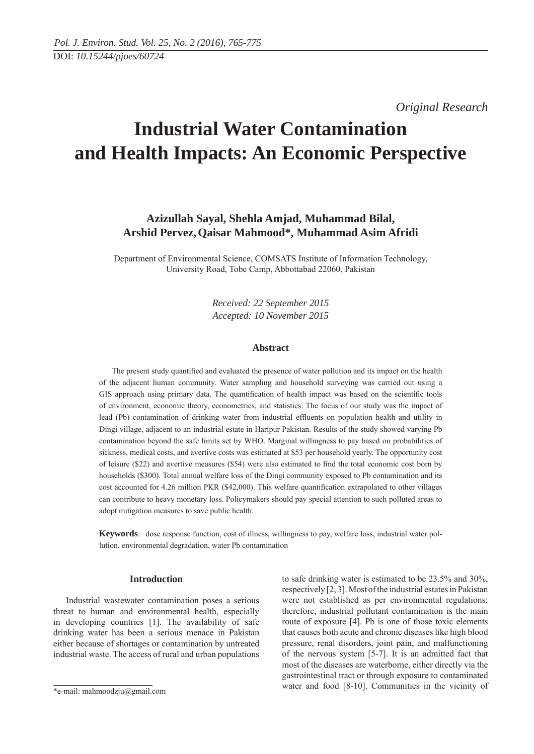*Original Research* 

# **Industrial Water Contamination and Health Impacts: An Economic Perspective**

## **Azizullah Sayal, Shehla Amjad, Muhammad Bilal, Arshid Pervez,Qaisar Mahmood\*, Muhammad Asim Afridi**

Department of Environmental Science, COMSATS Institute of Information Technology, University Road, Tobe Camp, Abbottabad 22060, Pakistan

> *Received: 22 September 2015 Accepted: 10 November 2015*

## **Abstract**

The present study quantified and evaluated the presence of water pollution and its impact on the health of the adjacent human community. Water sampling and household surveying was carried out using a GIS approach using primary data. The quantification of health impact was based on the scientific tools of environment, economic theory, econometrics, and statistics. The focus of our study was the impact of lead (Pb) contamination of drinking water from industrial effluents on population health and utility in Dingi village, adjacent to an industrial estate in Haripur Pakistan. Results of the study showed varying Pb contamination beyond the safe limits set by WHO. Marginal willingness to pay based on probabilities of sickness, medical costs, and avertive costs was estimated at \$53 per household yearly. The opportunity cost of leisure (\$22) and avertive measures (\$54) were also estimated to find the total economic cost born by households (\$300). Total annual welfare loss of the Dingi community exposed to Pb contamination and its cost accounted for 4.26 million PKR (\$42,000). This welfare quantification extrapolated to other villages can contribute to heavy monetary loss. Policymakers should pay special attention to such polluted areas to adopt mitigation measures to save public health.

**Keywords**: dose response function, cost of illness, willingness to pay, welfare loss, industrial water pollution, environmental degradation, water Pb contamination

## **Introduction**

Industrial wastewater contamination poses a serious threat to human and environmental health, especially in developing countries [1]. The availability of safe drinking water has been a serious menace in Pakistan either because of shortages or contamination by untreated industrial waste. The access of rural and urban populations to safe drinking water is estimated to be 23.5% and 30%, respectively [2, 3]. Most of the industrial estates in Pakistan were not established as per environmental regulations; therefore, industrial pollutant contamination is the main route of exposure [4]. Pb is one of those toxic elements that causes both acute and chronic diseases like high blood pressure, renal disorders, joint pain, and malfunctioning of the nervous system [5-7]. It is an admitted fact that most of the diseases are waterborne, either directly via the gastrointestinal tract or through exposure to contaminated water and food [8-10]. Communities in the vicinity of

<sup>\*</sup>e-mail: mahmoodzju@gmail.com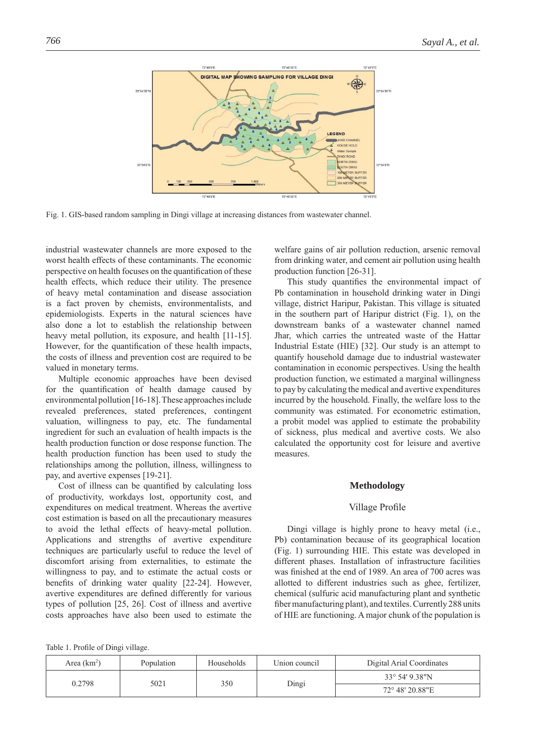

Fig. 1. GIS-based random sampling in Dingi village at increasing distances from wastewater channel.

industrial wastewater channels are more exposed to the worst health effects of these contaminants. The economic perspective on health focuses on the quantification of these health effects, which reduce their utility. The presence of heavy metal contamination and disease association is a fact proven by chemists, environmentalists, and epidemiologists. Experts in the natural sciences have also done a lot to establish the relationship between heavy metal pollution, its exposure, and health [11-15]. However, for the quantification of these health impacts, the costs of illness and prevention cost are required to be valued in monetary terms.

Multiple economic approaches have been devised for the quantification of health damage caused by environmental pollution [16-18]. These approaches include revealed preferences, stated preferences, contingent valuation, willingness to pay, etc. The fundamental ingredient for such an evaluation of health impacts is the health production function or dose response function. The health production function has been used to study the relationships among the pollution, illness, willingness to pay, and avertive expenses [19-21].

Cost of illness can be quantified by calculating loss of productivity, workdays lost, opportunity cost, and expenditures on medical treatment. Whereas the avertive cost estimation is based on all the precautionary measures to avoid the lethal effects of heavy-metal pollution. Applications and strengths of avertive expenditure techniques are particularly useful to reduce the level of discomfort arising from externalities, to estimate the willingness to pay, and to estimate the actual costs or benefits of drinking water quality [22-24]. However, avertive expenditures are defined differently for various types of pollution [25, 26]. Cost of illness and avertive costs approaches have also been used to estimate the

welfare gains of air pollution reduction, arsenic removal from drinking water, and cement air pollution using health production function [26-31].

This study quantifies the environmental impact of Pb contamination in household drinking water in Dingi village, district Haripur, Pakistan. This village is situated in the southern part of Haripur district (Fig. 1), on the downstream banks of a wastewater channel named Jhar, which carries the untreated waste of the Hattar Industrial Estate (HIE) [32]. Our study is an attempt to quantify household damage due to industrial wastewater contamination in economic perspectives. Using the health production function, we estimated a marginal willingness to pay by calculating the medical and avertive expenditures incurred by the household. Finally, the welfare loss to the community was estimated. For econometric estimation, a probit model was applied to estimate the probability of sickness, plus medical and avertive costs. We also calculated the opportunity cost for leisure and avertive measures.

## **Methodology**

## Village Profile

Dingi village is highly prone to heavy metal (i.e., Pb) contamination because of its geographical location (Fig. 1) surrounding HIE. This estate was developed in different phases. Installation of infrastructure facilities was finished at the end of 1989. An area of 700 acres was allotted to different industries such as ghee, fertilizer, chemical (sulfuric acid manufacturing plant and synthetic fiber manufacturing plant), and textiles. Currently 288 units of HIE are functioning. A major chunk of the population is

Table 1. Profile of Dingi village.

| Area $(km^2)$ | Population | Households | Union council  | Digital Arial Coordinates |
|---------------|------------|------------|----------------|---------------------------|
|               |            |            | 33° 54′ 9.38″N |                           |
| 0.2798        | 5021       | 350        | Dingi          | 72° 48′ 20.88″E           |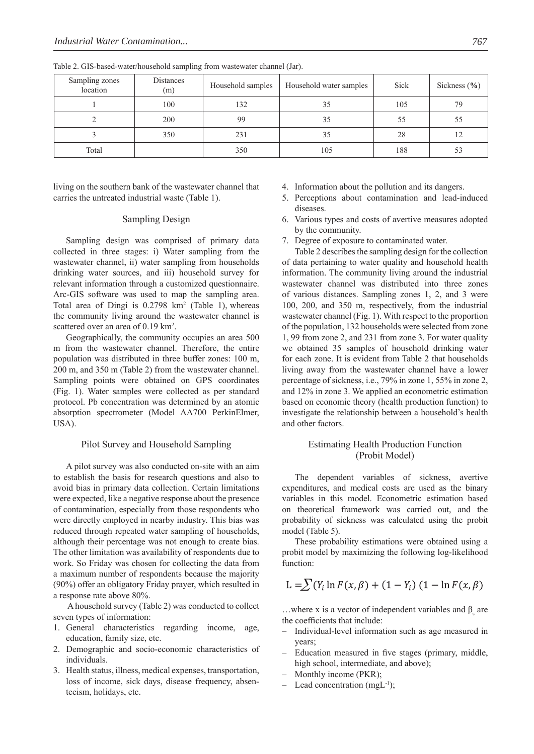| Sampling zones<br>location | Distances<br>(m) | Household samples | Household water samples | Sick | Sickness $(\% )$ |
|----------------------------|------------------|-------------------|-------------------------|------|------------------|
|                            | 100              | 132               | 35                      | 105  | 79               |
|                            | 200              | 99                | 35                      | 55   | 55               |
|                            | 350              | 231               | 35                      | 28   | 12               |
| Total                      |                  | 350               | 105                     | 188  | 53               |

Table 2. GIS-based-water/household sampling from wastewater channel (Jar).

living on the southern bank of the wastewater channel that carries the untreated industrial waste (Table 1).

## Sampling Design

Sampling design was comprised of primary data collected in three stages: i) Water sampling from the wastewater channel, ii) water sampling from households drinking water sources, and iii) household survey for relevant information through a customized questionnaire. Arc-GIS software was used to map the sampling area. Total area of Dingi is 0.2798 km<sup>2</sup> (Table 1), whereas the community living around the wastewater channel is scattered over an area of 0.19 km<sup>2</sup>.

Geographically, the community occupies an area 500 m from the wastewater channel. Therefore, the entire population was distributed in three buffer zones: 100 m, 200 m, and 350 m (Table 2) from the wastewater channel. Sampling points were obtained on GPS coordinates (Fig. 1). Water samples were collected as per standard protocol. Pb concentration was determined by an atomic absorption spectrometer (Model AA700 PerkinElmer, USA).

## Pilot Survey and Household Sampling

A pilot survey was also conducted on-site with an aim to establish the basis for research questions and also to avoid bias in primary data collection. Certain limitations were expected, like a negative response about the presence of contamination, especially from those respondents who were directly employed in nearby industry. This bias was reduced through repeated water sampling of households, although their percentage was not enough to create bias. The other limitation was availability of respondents due to work. So Friday was chosen for collecting the data from a maximum number of respondents because the majority (90%) offer an obligatory Friday prayer, which resulted in a response rate above 80%.

 A household survey (Table 2) was conducted to collect seven types of information:

- 1. General characteristics regarding income, age, education, family size, etc.
- 2. Demographic and socio-economic characteristics of individuals.
- 3. Health status, illness, medical expenses, transportation, loss of income, sick days, disease frequency, absenteeism, holidays, etc.
- 4. Information about the pollution and its dangers.
- 5. Perceptions about contamination and lead-induced diseases.
- 6. Various types and costs of avertive measures adopted by the community.
- 7. Degree of exposure to contaminated water.

Table 2 describes the sampling design for the collection of data pertaining to water quality and household health information. The community living around the industrial wastewater channel was distributed into three zones of various distances. Sampling zones 1, 2, and 3 were 100, 200, and 350 m, respectively, from the industrial wastewater channel (Fig. 1). With respect to the proportion of the population, 132 households were selected from zone 1, 99 from zone 2, and 231 from zone 3. For water quality we obtained 35 samples of household drinking water for each zone. It is evident from Table 2 that households living away from the wastewater channel have a lower percentage of sickness, i.e., 79% in zone 1, 55% in zone 2, and 12% in zone 3. We applied an econometric estimation based on economic theory (health production function) to investigate the relationship between a household's health and other factors.

## Estimating Health Production Function (Probit Model)

The dependent variables of sickness, avertive expenditures, and medical costs are used as the binary variables in this model. Econometric estimation based on theoretical framework was carried out, and the probability of sickness was calculated using the probit model (Table 5).

These probability estimations were obtained using a probit model by maximizing the following log-likelihood function:

$$
L = \sum (Y_i \ln F(x, \beta) + (1 - Y_i) (1 - \ln F(x, \beta))
$$

...where x is a vector of independent variables and  $\beta_s$  are the coefficients that include:

- Individual-level information such as age measured in years;
- Education measured in five stages (primary, middle, high school, intermediate, and above);
- Monthly income (PKR);
- Lead concentration  $(mgL^{-1})$ ;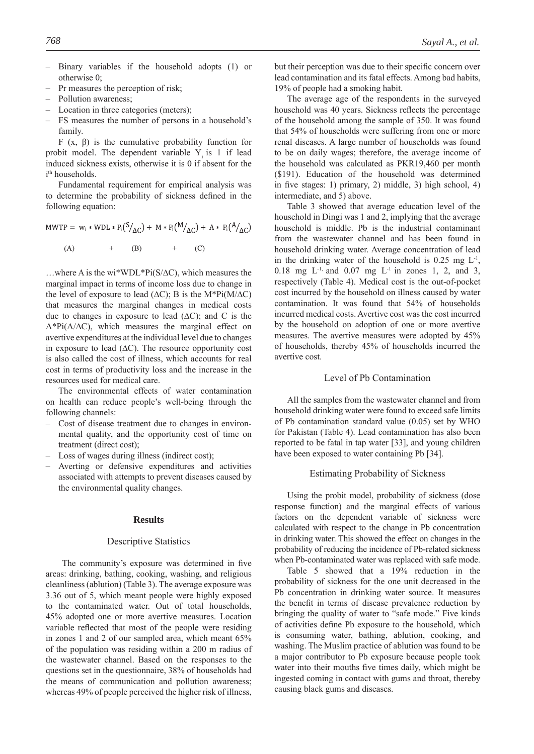- Binary variables if the household adopts (1) or otherwise 0;
- Pr measures the perception of risk;
- Pollution awareness;
- Location in three categories (meters);
- FS measures the number of persons in a household's family.

F (x, β) is the cumulative probability function for probit model. The dependent variable Y<sub>i</sub> is 1 if lead induced sickness exists, otherwise it is 0 if absent for the i<sup>th</sup> households.

Fundamental requirement for empirical analysis was to determine the probability of sickness defined in the following equation:

MWTP =  $w_i * WDL * P_i(S /_{AC}) + M * P_i(M /_{AC}) + A * P_i(A /_{AC})$  $(A)$  $(B)$  $(C)$ 

…where A is the wi\*WDL\*Pi(S/∆C), which measures the marginal impact in terms of income loss due to change in the level of exposure to lead ( $\Delta C$ ); B is the M\*Pi(M/ $\Delta C$ ) that measures the marginal changes in medical costs due to changes in exposure to lead  $(ΔC)$ ; and C is the A\*Pi(A/∆C), which measures the marginal effect on avertive expenditures at the individual level due to changes in exposure to lead (∆C). The resource opportunity cost is also called the cost of illness, which accounts for real cost in terms of productivity loss and the increase in the resources used for medical care.

The environmental effects of water contamination on health can reduce people's well-being through the following channels:

- Cost of disease treatment due to changes in environmental quality, and the opportunity cost of time on treatment (direct cost);
- Loss of wages during illness (indirect cost);
- Averting or defensive expenditures and activities associated with attempts to prevent diseases caused by the environmental quality changes.

#### **Results**

#### Descriptive Statistics

The community's exposure was determined in five areas: drinking, bathing, cooking, washing, and religious cleanliness (ablution) (Table 3). The average exposure was 3.36 out of 5, which meant people were highly exposed to the contaminated water. Out of total households, 45% adopted one or more avertive measures. Location variable reflected that most of the people were residing in zones 1 and 2 of our sampled area, which meant 65% of the population was residing within a 200 m radius of the wastewater channel. Based on the responses to the questions set in the questionnaire, 38% of households had the means of communication and pollution awareness; whereas 49% of people perceived the higher risk of illness,

but their perception was due to their specific concern over lead contamination and its fatal effects. Among bad habits, 19% of people had a smoking habit.

The average age of the respondents in the surveyed household was 40 years. Sickness reflects the percentage of the household among the sample of 350. It was found that 54% of households were suffering from one or more renal diseases. A large number of households was found to be on daily wages; therefore, the average income of the household was calculated as PKR19,460 per month (\$191). Education of the household was determined in five stages: 1) primary, 2) middle, 3) high school, 4) intermediate, and 5) above.

Table 3 showed that average education level of the household in Dingi was 1 and 2, implying that the average household is middle. Pb is the industrial contaminant from the wastewater channel and has been found in household drinking water. Average concentration of lead in the drinking water of the household is  $0.25 \text{ mg L}^{-1}$ , 0.18 mg  $L^{-1}$ , and 0.07 mg  $L^{-1}$  in zones 1, 2, and 3, respectively (Table 4). Medical cost is the out-of-pocket cost incurred by the household on illness caused by water contamination. It was found that 54% of households incurred medical costs. Avertive cost was the cost incurred by the household on adoption of one or more avertive measures. The avertive measures were adopted by 45% of households, thereby 45% of households incurred the avertive cost.

## Level of Pb Contamination

All the samples from the wastewater channel and from household drinking water were found to exceed safe limits of Pb contamination standard value (0.05) set by WHO for Pakistan (Table 4). Lead contamination has also been reported to be fatal in tap water [33], and young children have been exposed to water containing Pb [34].

#### Estimating Probability of Sickness

Using the probit model, probability of sickness (dose response function) and the marginal effects of various factors on the dependent variable of sickness were calculated with respect to the change in Pb concentration in drinking water. This showed the effect on changes in the probability of reducing the incidence of Pb-related sickness when Pb-contaminated water was replaced with safe mode.

Table 5 showed that a 19% reduction in the probability of sickness for the one unit decreased in the Pb concentration in drinking water source. It measures the benefit in terms of disease prevalence reduction by bringing the quality of water to "safe mode." Five kinds of activities define Pb exposure to the household, which is consuming water, bathing, ablution, cooking, and washing. The Muslim practice of ablution was found to be a major contributor to Pb exposure because people took water into their mouths five times daily, which might be ingested coming in contact with gums and throat, thereby causing black gums and diseases.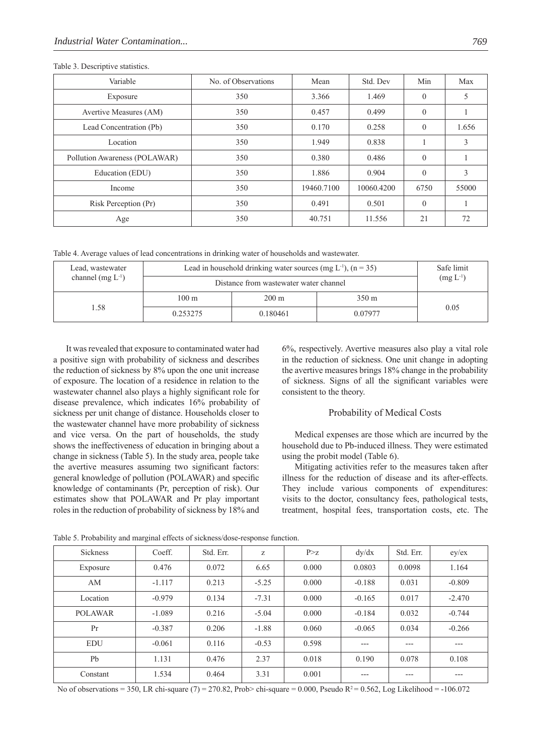| Variable                      | No. of Observations | Mean       | Std. Dev   | Min      | Max   |
|-------------------------------|---------------------|------------|------------|----------|-------|
| Exposure                      | 350                 | 3.366      | 1.469      | $\theta$ | 5     |
| Avertive Measures (AM)        | 350                 | 0.457      | 0.499      | $\theta$ |       |
| Lead Concentration (Pb)       | 350                 | 0.170      | 0.258      | $\Omega$ | 1.656 |
| Location                      | 350                 | 1.949      | 0.838      |          | 3     |
| Pollution Awareness (POLAWAR) | 350                 | 0.380      | 0.486      | $\Omega$ |       |
| Education (EDU)               | 350                 | 1.886      | 0.904      | $\theta$ | 3     |
| Income                        | 350                 | 19460.7100 | 10060.4200 | 6750     | 55000 |
| Risk Perception (Pr)          | 350                 | 0.491      | 0.501      | $\theta$ |       |
| Age                           | 350                 | 40.751     | 11.556     | 21       | 72    |

Table 3. Descriptive statistics.

Table 4. Average values of lead concentrations in drinking water of households and wastewater.

| Lead, wastewater       | Lead in household drinking water sources (mg $L^{-1}$ ), (n = 35) | Safe limit      |         |      |
|------------------------|-------------------------------------------------------------------|-----------------|---------|------|
| channel (mg $L^{-1}$ ) | Distance from wastewater water channel                            | $(mg L^{-1})$   |         |      |
| 1.58                   | $100 \text{ m}$                                                   | $200 \text{ m}$ | 350 m   |      |
|                        | 0.253275                                                          | 0.180461        | 0.07977 | 0.05 |

It was revealed that exposure to contaminated water had a positive sign with probability of sickness and describes the reduction of sickness by 8% upon the one unit increase of exposure. The location of a residence in relation to the wastewater channel also plays a highly significant role for disease prevalence, which indicates 16% probability of sickness per unit change of distance. Households closer to the wastewater channel have more probability of sickness and vice versa. On the part of households, the study shows the ineffectiveness of education in bringing about a change in sickness (Table 5). In the study area, people take the avertive measures assuming two significant factors: general knowledge of pollution (POLAWAR) and specific knowledge of contaminants (Pr, perception of risk). Our estimates show that POLAWAR and Pr play important roles in the reduction of probability of sickness by 18% and

6%, respectively. Avertive measures also play a vital role in the reduction of sickness. One unit change in adopting the avertive measures brings 18% change in the probability of sickness. Signs of all the significant variables were consistent to the theory.

## Probability of Medical Costs

Medical expenses are those which are incurred by the household due to Pb-induced illness. They were estimated using the probit model (Table 6).

Mitigating activities refer to the measures taken after illness for the reduction of disease and its after-effects. They include various components of expenditures: visits to the doctor, consultancy fees, pathological tests, treatment, hospital fees, transportation costs, etc. The

| <b>Sickness</b> | Coeff.   | Std. Err. | Z       | P > z | dy/dx    | Std. Err. | $ey$ / $ex$ |
|-----------------|----------|-----------|---------|-------|----------|-----------|-------------|
| Exposure        | 0.476    | 0.072     | 6.65    | 0.000 | 0.0803   | 0.0098    | 1.164       |
| AM              | $-1.117$ | 0.213     | $-5.25$ | 0.000 | $-0.188$ | 0.031     | $-0.809$    |
| Location        | $-0.979$ | 0.134     | $-7.31$ | 0.000 | $-0.165$ | 0.017     | $-2.470$    |
| <b>POLAWAR</b>  | $-1.089$ | 0.216     | $-5.04$ | 0.000 | $-0.184$ | 0.032     | $-0.744$    |
| Pr              | $-0.387$ | 0.206     | $-1.88$ | 0.060 | $-0.065$ | 0.034     | $-0.266$    |
| <b>EDU</b>      | $-0.061$ | 0.116     | $-0.53$ | 0.598 | $---$    | ---       | ---         |
| Pb              | 1.131    | 0.476     | 2.37    | 0.018 | 0.190    | 0.078     | 0.108       |
| Constant        | 1.534    | 0.464     | 3.31    | 0.001 | $---$    | ---       | ---         |

Table 5. Probability and marginal effects of sickness/dose-response function.

No of observations = 350, LR chi-square (7) = 270.82, Prob> chi-square = 0.000, Pseudo R<sup>2</sup> = 0.562, Log Likelihood = -106.072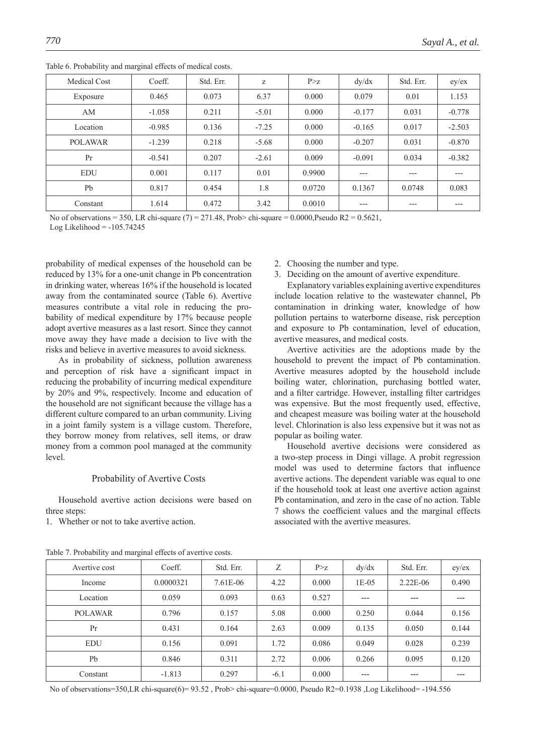| <b>Medical Cost</b> | Coeff.   | Std. Err. | Z       | P > Z  | dy/dx    | Std. Err. | $ey$ / $ex$ |
|---------------------|----------|-----------|---------|--------|----------|-----------|-------------|
| Exposure            | 0.465    | 0.073     | 6.37    | 0.000  | 0.079    | 0.01      | 1.153       |
| AM                  | $-1.058$ | 0.211     | $-5.01$ | 0.000  | $-0.177$ | 0.031     | $-0.778$    |
| Location            | $-0.985$ | 0.136     | $-7.25$ | 0.000  | $-0.165$ | 0.017     | $-2.503$    |
| <b>POLAWAR</b>      | $-1.239$ | 0.218     | $-5.68$ | 0.000  | $-0.207$ | 0.031     | $-0.870$    |
| Pr                  | $-0.541$ | 0.207     | $-2.61$ | 0.009  | $-0.091$ | 0.034     | $-0.382$    |
| <b>EDU</b>          | 0.001    | 0.117     | 0.01    | 0.9900 | $---$    | $---$     | ---         |
| P <sub>b</sub>      | 0.817    | 0.454     | 1.8     | 0.0720 | 0.1367   | 0.0748    | 0.083       |
| Constant            | 1.614    | 0.472     | 3.42    | 0.0010 | $---$    | $---$     | ---         |

Table 6. Probability and marginal effects of medical costs.

No of observations = 350, LR chi-square  $(7)$  = 271.48, Prob> chi-square = 0.0000, Pseudo R2 = 0.5621, Log Likelihood  $= -105.74245$ 

probability of medical expenses of the household can be reduced by 13% for a one-unit change in Pb concentration in drinking water, whereas 16% if the household is located away from the contaminated source (Table 6). Avertive measures contribute a vital role in reducing the probability of medical expenditure by 17% because people adopt avertive measures as a last resort. Since they cannot move away they have made a decision to live with the risks and believe in avertive measures to avoid sickness.

As in probability of sickness, pollution awareness and perception of risk have a significant impact in reducing the probability of incurring medical expenditure by 20% and 9%, respectively. Income and education of the household are not significant because the village has a different culture compared to an urban community. Living in a joint family system is a village custom. Therefore, they borrow money from relatives, sell items, or draw money from a common pool managed at the community level.

## Probability of Avertive Costs

Household avertive action decisions were based on three steps:

1. Whether or not to take avertive action.

- 2. Choosing the number and type.
- 3. Deciding on the amount of avertive expenditure.

Explanatory variables explaining avertive expenditures include location relative to the wastewater channel, Pb contamination in drinking water, knowledge of how pollution pertains to waterborne disease, risk perception and exposure to Pb contamination, level of education, avertive measures, and medical costs.

Avertive activities are the adoptions made by the household to prevent the impact of Pb contamination. Avertive measures adopted by the household include boiling water, chlorination, purchasing bottled water, and a filter cartridge. However, installing filter cartridges was expensive. But the most frequently used, effective, and cheapest measure was boiling water at the household level. Chlorination is also less expensive but it was not as popular as boiling water.

Household avertive decisions were considered as a two-step process in Dingi village. A probit regression model was used to determine factors that influence avertive actions. The dependent variable was equal to one if the household took at least one avertive action against Pb contamination, and zero in the case of no action. Table 7 shows the coefficient values and the marginal effects associated with the avertive measures.

| Avertive cost | Coeff.    | Std. Err. | Ζ      | P > z | dy/dx   | Std. Err.  | $ey$ / $ex$ |
|---------------|-----------|-----------|--------|-------|---------|------------|-------------|
| Income        | 0.0000321 | 7.61E-06  | 4.22   | 0.000 | $1E-05$ | $2.22E-06$ | 0.490       |
| Location      | 0.059     | 0.093     | 0.63   | 0.527 | $- - -$ | $- - -$    | ---         |
| POLAWAR       | 0.796     | 0.157     | 5.08   | 0.000 | 0.250   | 0.044      | 0.156       |
| Pr            | 0.431     | 0.164     | 2.63   | 0.009 | 0.135   | 0.050      | 0.144       |
| <b>EDU</b>    | 0.156     | 0.091     | 1.72   | 0.086 | 0.049   | 0.028      | 0.239       |
| Pb            | 0.846     | 0.311     | 2.72   | 0.006 | 0.266   | 0.095      | 0.120       |
| Constant      | $-1.813$  | 0.297     | $-6.1$ | 0.000 | ---     | ---        | ---         |

Table 7. Probability and marginal effects of avertive costs.

No of observations=350,LR chi-square(6)= 93.52 , Prob> chi-square=0.0000, Pseudo R2=0.1938 ,Log Likelihood= -194.556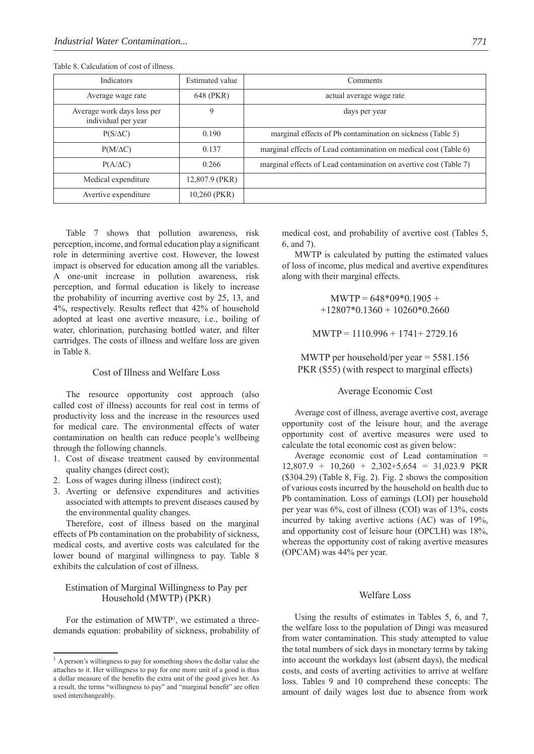| Indicators                                        | <b>Estimated value</b> | Comments                                                          |
|---------------------------------------------------|------------------------|-------------------------------------------------------------------|
| Average wage rate                                 | 648 (PKR)              | actual average wage rate                                          |
| Average work days loss per<br>individual per year | 9                      | days per year                                                     |
| $P(S/\Delta C)$                                   | 0.190                  | marginal effects of Pb contamination on sickness (Table 5)        |
| $P(M/\Delta C)$                                   | 0.137                  | marginal effects of Lead contamination on medical cost (Table 6)  |
| $P(A/\Delta C)$                                   | 0.266                  | marginal effects of Lead contamination on avertive cost (Table 7) |
| Medical expenditure                               | 12,807.9 (PKR)         |                                                                   |
| Avertive expenditure                              | 10,260 (PKR)           |                                                                   |

Table 8. Calculation of cost of illness.

Table 7 shows that pollution awareness, risk perception, income, and formal education play a significant role in determining avertive cost. However, the lowest impact is observed for education among all the variables. A one-unit increase in pollution awareness, risk perception, and formal education is likely to increase the probability of incurring avertive cost by 25, 13, and 4%, respectively. Results reflect that 42% of household adopted at least one avertive measure, i.e., boiling of water, chlorination, purchasing bottled water, and filter cartridges. The costs of illness and welfare loss are given in Table 8.

## Cost of Illness and Welfare Loss

The resource opportunity cost approach (also called cost of illness) accounts for real cost in terms of productivity loss and the increase in the resources used for medical care. The environmental effects of water contamination on health can reduce people's wellbeing through the following channels.

- 1. Cost of disease treatment caused by environmental quality changes (direct cost);
- 2. Loss of wages during illness (indirect cost);
- 3. Averting or defensive expenditures and activities associated with attempts to prevent diseases caused by the environmental quality changes.

Therefore, cost of illness based on the marginal effects of Pb contamination on the probability of sickness, medical costs, and avertive costs was calculated for the lower bound of marginal willingness to pay. Table 8 exhibits the calculation of cost of illness.

## Estimation of Marginal Willingness to Pay per Household (MWTP) (PKR)

For the estimation of MWTP<sup>1</sup>, we estimated a threedemands equation: probability of sickness, probability of medical cost, and probability of avertive cost (Tables 5, 6, and 7).

MWTP is calculated by putting the estimated values of loss of income, plus medical and avertive expenditures along with their marginal effects.

> $MWTP = 648*09*0.1905 +$  $+12807*0.1360 + 10260*0.2660$

MWTP = 1110.996 + 1741+ 2729.16

MWTP per household/per year = 5581.156 PKR (\$55) (with respect to marginal effects)

#### Average Economic Cost

Average cost of illness, average avertive cost, average opportunity cost of the leisure hour, and the average opportunity cost of avertive measures were used to calculate the total economic cost as given below:

Average economic cost of Lead contamination =  $12,807.9 + 10,260 + 2,302 + 5,654 = 31,023.9$  PKR (\$304.29) (Table 8, Fig. 2). Fig. 2 shows the composition of various costs incurred by the household on health due to Pb contamination. Loss of earnings (LOI) per household per year was 6%, cost of illness (COI) was of 13%, costs incurred by taking avertive actions (AC) was of 19%, and opportunity cost of leisure hour (OPCLH) was 18%, whereas the opportunity cost of raking avertive measures (OPCAM) was 44% per year.

#### Welfare Loss

Using the results of estimates in Tables 5, 6, and 7, the welfare loss to the population of Dingi was measured from water contamination. This study attempted to value the total numbers of sick days in monetary terms by taking into account the workdays lost (absent days), the medical costs, and costs of averting activities to arrive at welfare loss. Tables 9 and 10 comprehend these concepts: The amount of daily wages lost due to absence from work

<sup>&</sup>lt;sup>1</sup> A person's willingness to pay for something shows the dollar value she attaches to it. Her willingness to pay for one more unit of a good is thus a dollar measure of the benefits the extra unit of the good gives her. As a result, the terms "willingness to pay" and "marginal benefit" are often used interchangeably.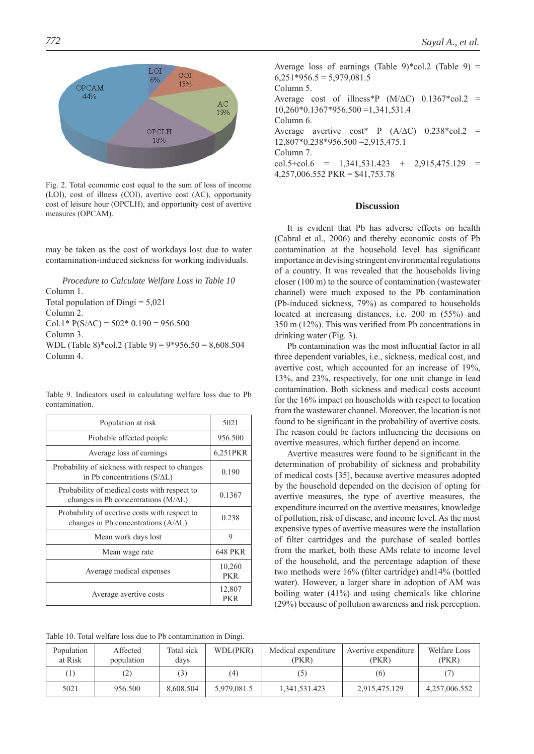

Fig. 2. Total economic cost equal to the sum of loss of income (LOI), cost of illness (COI), avertive cost (AC), opportunity cost of leisure hour (OPCLH), and opportunity cost of avertive measures (OPCAM).

may be taken as the cost of workdays lost due to water contamination-induced sickness for working individuals.

*Procedure to Calculate Welfare Loss in Table 10* Column 1. Total population of Dingi  $= 5,021$ Column 2. Col.1\*  $P(S/\Delta C) = 502$ \* 0.190 = 956.500 Column 3. WDL (Table 8)\*col.2 (Table 9) = 9\*956.50 = 8,608.504 Column 4.

|  |                |  | Table 9. Indicators used in calculating welfare loss due to Pb |  |  |  |
|--|----------------|--|----------------------------------------------------------------|--|--|--|
|  | contamination. |  |                                                                |  |  |  |

| Population at risk                                                                           | 5021                 |
|----------------------------------------------------------------------------------------------|----------------------|
| Probable affected people                                                                     | 956.500              |
| Average loss of earnings                                                                     | 6,251PKR             |
| Probability of sickness with respect to changes<br>in Pb concentrations $(S/\Delta L)$       | 0.190                |
| Probability of medical costs with respect to<br>changes in Pb concentrations $(M/\Delta L)$  | 0.1367               |
| Probability of avertive costs with respect to<br>changes in Pb concentrations $(A/\Delta L)$ | 0.238                |
| Mean work days lost                                                                          | 9                    |
| Mean wage rate                                                                               | <b>648 PKR</b>       |
| Average medical expenses                                                                     | 10,260<br><b>PKR</b> |
| Average avertive costs                                                                       | 12,807<br><b>PKR</b> |

Table 10. Total welfare loss due to Pb contamination in Dingi.

Average loss of earnings (Table 9)\*col.2 (Table 9) =  $6,251*956.5 = 5,979,081.5$ Column 5. Average cost of illness\*P  $(M/\Delta C)$  0.1367\*col.2 = 10,260\*0.1367\*956.500 =1,341,531.4 Column 6. Average avertive  $\text{cost}^*$  P (A/ $\Delta$ C) 0.238\*col.2 = 12,807\*0.238\*956.500 =2,915,475.1 Column 7.  $col.5+col.6 = 1,341,531.423 + 2,915,475.129 =$ 4,257,006.552 PKR = \$41,753.78

#### **Discussion**

It is evident that Pb has adverse effects on health (Cabral et al., 2006) and thereby economic costs of Pb contamination at the household level has significant importance in devising stringent environmental regulations of a country. It was revealed that the households living closer (100 m) to the source of contamination (wastewater channel) were much exposed to the Pb contamination (Pb-induced sickness, 79%) as compared to households located at increasing distances, i.e. 200 m (55%) and  $350$  m (12%). This was verified from Pb concentrations in drinking water (Fig. 3).

Pb contamination was the most influential factor in all three dependent variables, i.e., sickness, medical cost, and avertive cost, which accounted for an increase of 19%, 13%, and 23%, respectively, for one unit change in lead contamination. Both sickness and medical costs account for the 16% impact on households with respect to location from the wastewater channel. Moreover, the location is not found to be significant in the probability of avertive costs. The reason could be factors influencing the decisions on avertive measures, which further depend on income.

Avertive measures were found to be significant in the determination of probability of sickness and probability of medical costs [35], because avertive measures adopted by the household depended on the decision of opting for avertive measures, the type of avertive measures, the expenditure incurred on the avertive measures, knowledge of pollution, risk of disease, and income level. As the most expensive types of avertive measures were the installation of filter cartridges and the purchase of sealed bottles from the market, both these AMs relate to income level of the household, and the percentage adaption of these two methods were 16% (filter cartridge) and 14% (bottled water). However, a larger share in adoption of AM was boiling water (41%) and using chemicals like chlorine (29%) because of pollution awareness and risk perception.

| Population<br>at Risk | Affected<br>population | Total sick<br>days | WDL(PKR)    | Medical expenditure<br>(PKR) | Avertive expenditure<br>(PKR) | Welfare Loss<br>(PKR) |
|-----------------------|------------------------|--------------------|-------------|------------------------------|-------------------------------|-----------------------|
| $\left(1\right)$      |                        | $\mathfrak{b}$     | (4)         | [5]                          | (6)                           |                       |
| 5021                  | 956.500                | 8.608.504          | 5,979,081.5 | 1,341,531.423                | 2,915,475.129                 | 4,257,006.552         |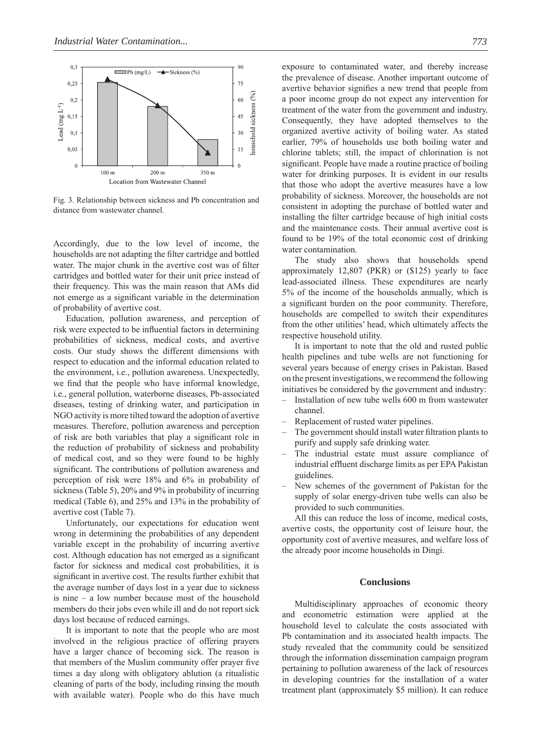

Fig. 3. Relationship between sickness and Pb concentration and distance from wastewater channel.

Accordingly, due to the low level of income, the households are not adapting the filter cartridge and bottled water. The major chunk in the avertive cost was of filter cartridges and bottled water for their unit price instead of their frequency. This was the main reason that AMs did not emerge as a significant variable in the determination of probability of avertive cost.

Education, pollution awareness, and perception of risk were expected to be influential factors in determining probabilities of sickness, medical costs, and avertive costs. Our study shows the different dimensions with respect to education and the informal education related to the environment, i.e., pollution awareness. Unexpectedly, we find that the people who have informal knowledge, i.e., general pollution, waterborne diseases, Pb-associated diseases, testing of drinking water, and participation in NGO activity is more tilted toward the adoption of avertive measures. Therefore, pollution awareness and perception of risk are both variables that play a significant role in the reduction of probability of sickness and probability of medical cost, and so they were found to be highly significant. The contributions of pollution awareness and perception of risk were 18% and 6% in probability of sickness (Table 5), 20% and 9% in probability of incurring medical (Table 6), and 25% and 13% in the probability of avertive cost (Table 7).

Unfortunately, our expectations for education went wrong in determining the probabilities of any dependent variable except in the probability of incurring avertive cost. Although education has not emerged as a significant factor for sickness and medical cost probabilities, it is significant in avertive cost. The results further exhibit that the average number of days lost in a year due to sickness is nine – a low number because most of the household members do their jobs even while ill and do not report sick days lost because of reduced earnings.

It is important to note that the people who are most involved in the religious practice of offering prayers have a larger chance of becoming sick. The reason is that members of the Muslim community offer prayer five times a day along with obligatory ablution (a ritualistic cleaning of parts of the body, including rinsing the mouth with available water). People who do this have much exposure to contaminated water, and thereby increase the prevalence of disease. Another important outcome of avertive behavior signifies a new trend that people from a poor income group do not expect any intervention for treatment of the water from the government and industry. Consequently, they have adopted themselves to the organized avertive activity of boiling water. As stated earlier, 79% of households use both boiling water and chlorine tablets; still, the impact of chlorination is not significant. People have made a routine practice of boiling water for drinking purposes. It is evident in our results that those who adopt the avertive measures have a low probability of sickness. Moreover, the households are not consistent in adopting the purchase of bottled water and installing the filter cartridge because of high initial costs and the maintenance costs. Their annual avertive cost is found to be 19% of the total economic cost of drinking water contamination.

The study also shows that households spend approximately 12,807 (PKR) or (\$125) yearly to face lead-associated illness. These expenditures are nearly 5% of the income of the households annually, which is a significant burden on the poor community. Therefore, households are compelled to switch their expenditures from the other utilities' head, which ultimately affects the respective household utility.

It is important to note that the old and rusted public health pipelines and tube wells are not functioning for several years because of energy crises in Pakistan. Based on the present investigations, we recommend the following initiatives be considered by the government and industry:

- Installation of new tube wells 600 m from wastewater channel.
- Replacement of rusted water pipelines.
- The government should install water filtration plants to purify and supply safe drinking water.
- The industrial estate must assure compliance of industrial effluent discharge limits as per EPA Pakistan guidelines.
- New schemes of the government of Pakistan for the supply of solar energy-driven tube wells can also be provided to such communities.

All this can reduce the loss of income, medical costs, avertive costs, the opportunity cost of leisure hour, the opportunity cost of avertive measures, and welfare loss of the already poor income households in Dingi.

## **Conclusions**

Multidisciplinary approaches of economic theory and econometric estimation were applied at the household level to calculate the costs associated with Pb contamination and its associated health impacts. The study revealed that the community could be sensitized through the information dissemination campaign program pertaining to pollution awareness of the lack of resources in developing countries for the installation of a water treatment plant (approximately \$5 million). It can reduce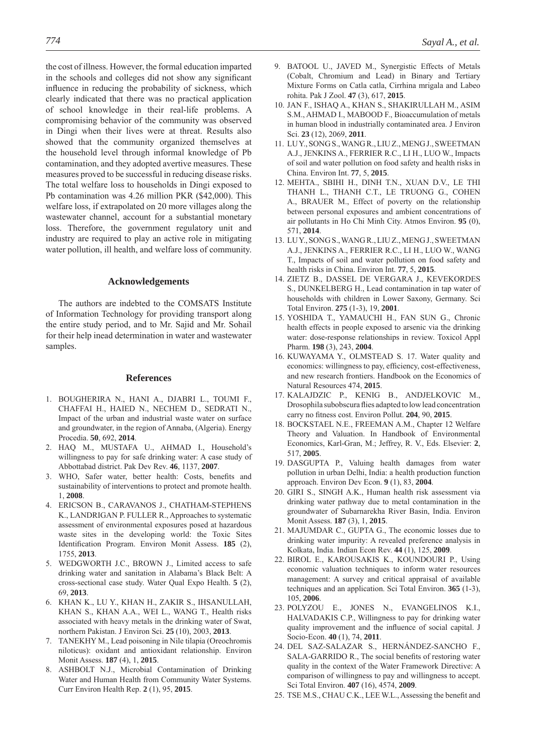the cost of illness. However, the formal education imparted in the schools and colleges did not show any significant influence in reducing the probability of sickness, which clearly indicated that there was no practical application of school knowledge in their real-life problems. A compromising behavior of the community was observed in Dingi when their lives were at threat. Results also showed that the community organized themselves at the household level through informal knowledge of Pb contamination, and they adopted avertive measures. These measures proved to be successful in reducing disease risks. The total welfare loss to households in Dingi exposed to Pb contamination was 4.26 million PKR (\$42,000). This welfare loss, if extrapolated on 20 more villages along the wastewater channel, account for a substantial monetary loss. Therefore, the government regulatory unit and industry are required to play an active role in mitigating water pollution, ill health, and welfare loss of community.

#### **Acknowledgements**

The authors are indebted to the COMSATS Institute of Information Technology for providing transport along the entire study period, and to Mr. Sajid and Mr. Sohail for their help inead determination in water and wastewater samples.

#### **References**

- 1. BOUGHERIRA N., HANI A., DJABRI L., TOUMI F., CHAFFAI H., HAIED N., NECHEM D., SEDRATI N., Impact of the urban and industrial waste water on surface and groundwater, in the region of Annaba, (Algeria). Energy Procedia. **50**, 692, **2014**.
- 2. HAQ M., MUSTAFA U., AHMAD I., Household's willingness to pay for safe drinking water: A case study of Abbottabad district. Pak Dev Rev. **46**, 1137, **2007**.
- 3. WHO, Safer water, better health: Costs, benefits and sustainability of interventions to protect and promote health. 1, **2008**.
- 4. ERICSON B., CARAVANOS J., CHATHAM-STEPHENS K., LANDRIGAN P. FULLER R., Approaches to systematic assessment of environmental exposures posed at hazardous waste sites in the developing world: the Toxic Sites Identification Program. Environ Monit Assess. **185** (2), 1755, **2013**.
- 5. WEDGWORTH J.C., BROWN J., Limited access to safe drinking water and sanitation in Alabama's Black Belt: A cross-sectional case study. Water Qual Expo Health. **5** (2), 69, **2013**.
- 6. KHAN K., LU Y., KHAN H., ZAKIR S., IHSANULLAH, KHAN S., KHAN A.A., WEI L., WANG T., Health risks associated with heavy metals in the drinking water of Swat, northern Pakistan. J Environ Sci. **25** (10), 2003, **2013**.
- 7. TANEKHY M., Lead poisoning in Nile tilapia (Oreochromis niloticus): oxidant and antioxidant relationship. Environ Monit Assess. **187** (4), 1, **2015**.
- 8. ASHBOLT N.J., Microbial Contamination of Drinking Water and Human Health from Community Water Systems. Curr Environ Health Rep. **2** (1), 95, **2015**.
- 9. BATOOL U., JAVED M., Synergistic Effects of Metals (Cobalt, Chromium and Lead) in Binary and Tertiary Mixture Forms on Catla catla, Cirrhina mrigala and Labeo rohita. Pak J Zool. **47** (3), 617, **2015**.
- 10. JAN F., ISHAQ A., KHAN S., SHAKIRULLAH M., ASIM S.M., AHMAD I., MABOOD F., Bioaccumulation of metals in human blood in industrially contaminated area. J Environ Sci. **23** (12), 2069, **2011**.
- 11. LU Y., SONG S., WANG R., LIU Z., MENG J., SWEETMAN A.J., JENKINS A., FERRIER R.C., LI H., LUO W., Impacts of soil and water pollution on food safety and health risks in China. Environ Int. **77**, 5, **2015**.
- 12. MEHTA., SBIHI H., DINH T.N., XUAN D.V., LE THI THANH L., THANH C.T., LE TRUONG G., COHEN A., BRAUER M., Effect of poverty on the relationship between personal exposures and ambient concentrations of air pollutants in Ho Chi Minh City. Atmos Environ. **95** (0), 571, **2014**.
- 13. LU Y., SONG S., WANG R., LIU Z., MENG J., SWEETMAN A.J., JENKINS A., FERRIER R.C., LI H., LUO W., WANG T., Impacts of soil and water pollution on food safety and health risks in China. Environ Int. **77**, 5, **2015**.
- 14. ZIETZ B., DASSEL DE VERGARA J., KEVEKORDES S., DUNKELBERG H., Lead contamination in tap water of households with children in Lower Saxony, Germany. Sci Total Environ. **275** (1-3), 19, **2001**.
- 15. YOSHIDA T., YAMAUCHI H., FAN SUN G., Chronic health effects in people exposed to arsenic via the drinking water: dose-response relationships in review. Toxicol Appl Pharm. **198** (3), 243, **2004**.
- 16. KUWAYAMA Y., OLMSTEAD S. 17. Water quality and economics: willingness to pay, efficiency, cost-effectiveness, and new research frontiers. Handbook on the Economics of Natural Resources 474, **2015**.
- 17. KALAJDZIC P., KENIG B., ANDJELKOVIC M., Drosophila subobscura flies adapted to low lead concentration carry no fitness cost. Environ Pollut. **204**, 90, **2015**.
- 18. BOCKSTAEL N.E., FREEMAN A.M., Chapter 12 Welfare Theory and Valuation. In Handbook of Environmental Economics, Karl-Gran, M.; Jeffrey, R. V., Eds. Elsevier: **2**, 517, **2005**.
- 19. DASGUPTA P., Valuing health damages from water pollution in urban Delhi, India: a health production function approach. Environ Dev Econ. **9** (1), 83, **2004**.
- 20. GIRI S., SINGH A.K., Human health risk assessment via drinking water pathway due to metal contamination in the groundwater of Subarnarekha River Basin, India. Environ Monit Assess. **187** (3), 1, **2015**.
- 21. MAJUMDAR C., GUPTA G., The economic losses due to drinking water impurity: A revealed preference analysis in Kolkata, India. Indian Econ Rev. **44** (1), 125, **2009**.
- 22. BIROL E., KAROUSAKIS K., KOUNDOURI P., Using economic valuation techniques to inform water resources management: A survey and critical appraisal of available techniques and an application. Sci Total Environ. **365** (1-3), 105, **2006**.
- 23. POLYZOU E., JONES N., EVANGELINOS K.I., HALVADAKIS C.P., Willingness to pay for drinking water quality improvement and the influence of social capital. J Socio-Econ. **40** (1), 74, **2011**.
- 24. DEL SAZ-SALAZAR S., HERNÁNDEZ-SANCHO F., SALA-GARRIDO R., The social benefits of restoring water quality in the context of the Water Framework Directive: A comparison of willingness to pay and willingness to accept. Sci Total Environ. **407** (16), 4574, **2009**.
- 25. TSE M.S., CHAU C.K., LEE W.L., Assessing the benefit and